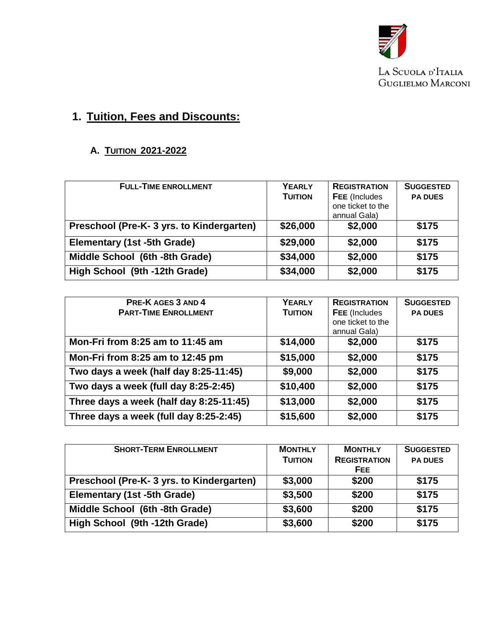

LA SCUOLA D'ITALIA GUGLIELMO MARCONI

# **1. Tuition, Fees and Discounts:**

## **A. TUITION 2021-2022**

| <b>FULL-TIME ENROLLMENT</b>              | <b>YEARLY</b><br><b>TUITION</b> | <b>REGISTRATION</b><br><b>FEE</b> (Includes<br>one ticket to the<br>annual Gala) | <b>SUGGESTED</b><br><b>PA DUES</b> |
|------------------------------------------|---------------------------------|----------------------------------------------------------------------------------|------------------------------------|
| Preschool (Pre-K-3 yrs. to Kindergarten) | \$26,000                        | \$2,000                                                                          | \$175                              |
| <b>Elementary (1st -5th Grade)</b>       | \$29,000                        | \$2,000                                                                          | \$175                              |
| Middle School (6th -8th Grade)           | \$34,000                        | \$2,000                                                                          | \$175                              |
| High School (9th -12th Grade)            | \$34,000                        | \$2,000                                                                          | \$175                              |

| PRE-K AGES 3 AND 4                      | <b>YEARLY</b>  | <b>REGISTRATION</b> | <b>SUGGESTED</b> |
|-----------------------------------------|----------------|---------------------|------------------|
| <b>PART-TIME ENROLLMENT</b>             | <b>TUITION</b> | FEE (Includes       | <b>PA DUES</b>   |
|                                         |                | one ticket to the   |                  |
|                                         |                | annual Gala)        |                  |
| Mon-Fri from 8:25 am to 11:45 am        | \$14,000       | \$2,000             | \$175            |
| Mon-Fri from 8:25 am to 12:45 pm        | \$15,000       | \$2,000             | \$175            |
| Two days a week (half day 8:25-11:45)   | \$9,000        | \$2,000             | \$175            |
| Two days a week (full day 8:25-2:45)    | \$10,400       | \$2,000             | \$175            |
| Three days a week (half day 8:25-11:45) | \$13,000       | \$2,000             | \$175            |
| Three days a week (full day 8:25-2:45)  | \$15,600       | \$2,000             | \$175            |

| <b>SHORT-TERM ENROLLMENT</b>             | <b>MONTHLY</b> | <b>MONTHLY</b>      | <b>SUGGESTED</b> |
|------------------------------------------|----------------|---------------------|------------------|
|                                          | <b>TUITION</b> | <b>REGISTRATION</b> | <b>PA DUES</b>   |
|                                          |                | FEE                 |                  |
| Preschool (Pre-K-3 yrs. to Kindergarten) | \$3,000        | \$200               | \$175            |
| Elementary (1st -5th Grade)              | \$3,500        | \$200               | \$175            |
| Middle School (6th -8th Grade)           | \$3,600        | \$200               | \$175            |
| High School (9th -12th Grade)            | \$3,600        | \$200               | \$175            |